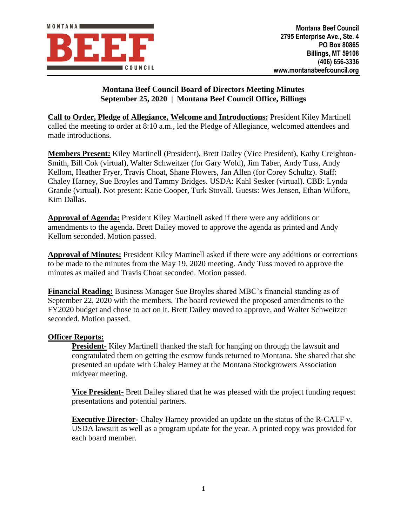

# **Montana Beef Council Board of Directors Meeting Minutes September 25, 2020 | Montana Beef Council Office, Billings**

**Call to Order, Pledge of Allegiance, Welcome and Introductions:** President Kiley Martinell called the meeting to order at 8:10 a.m., led the Pledge of Allegiance, welcomed attendees and made introductions.

**Members Present:** Kiley Martinell (President), Brett Dailey (Vice President), Kathy Creighton-Smith, Bill Cok (virtual), Walter Schweitzer (for Gary Wold), Jim Taber, Andy Tuss, Andy Kellom, Heather Fryer, Travis Choat, Shane Flowers, Jan Allen (for Corey Schultz). Staff: Chaley Harney, Sue Broyles and Tammy Bridges. USDA: Kahl Sesker (virtual). CBB: Lynda Grande (virtual). Not present: Katie Cooper, Turk Stovall. Guests: Wes Jensen, Ethan Wilfore, Kim Dallas.

**Approval of Agenda:** President Kiley Martinell asked if there were any additions or amendments to the agenda. Brett Dailey moved to approve the agenda as printed and Andy Kellom seconded. Motion passed.

**Approval of Minutes:** President Kiley Martinell asked if there were any additions or corrections to be made to the minutes from the May 19, 2020 meeting. Andy Tuss moved to approve the minutes as mailed and Travis Choat seconded. Motion passed.

**Financial Reading:** Business Manager Sue Broyles shared MBC's financial standing as of September 22, 2020 with the members. The board reviewed the proposed amendments to the FY2020 budget and chose to act on it. Brett Dailey moved to approve, and Walter Schweitzer seconded. Motion passed.

## **Officer Reports:**

**President-** Kiley Martinell thanked the staff for hanging on through the lawsuit and congratulated them on getting the escrow funds returned to Montana. She shared that she presented an update with Chaley Harney at the Montana Stockgrowers Association midyear meeting.

**Vice President-** Brett Dailey shared that he was pleased with the project funding request presentations and potential partners.

**Executive Director-** Chaley Harney provided an update on the status of the R-CALF v. USDA lawsuit as well as a program update for the year. A printed copy was provided for each board member.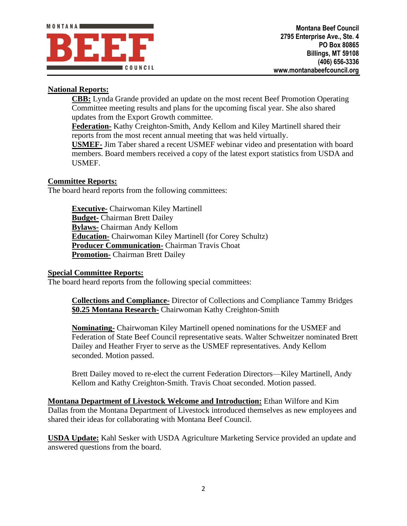

# **National Reports:**

**CBB:** Lynda Grande provided an update on the most recent Beef Promotion Operating Committee meeting results and plans for the upcoming fiscal year. She also shared updates from the Export Growth committee.

**Federation-** Kathy Creighton-Smith, Andy Kellom and Kiley Martinell shared their reports from the most recent annual meeting that was held virtually.

**USMEF-** Jim Taber shared a recent USMEF webinar video and presentation with board members. Board members received a copy of the latest export statistics from USDA and USMEF.

## **Committee Reports:**

The board heard reports from the following committees:

**Executive-** Chairwoman Kiley Martinell **Budget-** Chairman Brett Dailey **Bylaws-** Chairman Andy Kellom **Education-** Chairwoman Kiley Martinell (for Corey Schultz) **Producer Communication-** Chairman Travis Choat **Promotion-** Chairman Brett Dailey

#### **Special Committee Reports:**

The board heard reports from the following special committees:

**Collections and Compliance-** Director of Collections and Compliance Tammy Bridges **\$0.25 Montana Research-** Chairwoman Kathy Creighton-Smith

**Nominating-** Chairwoman Kiley Martinell opened nominations for the USMEF and Federation of State Beef Council representative seats. Walter Schweitzer nominated Brett Dailey and Heather Fryer to serve as the USMEF representatives. Andy Kellom seconded. Motion passed.

Brett Dailey moved to re-elect the current Federation Directors—Kiley Martinell, Andy Kellom and Kathy Creighton-Smith. Travis Choat seconded. Motion passed.

**Montana Department of Livestock Welcome and Introduction:** Ethan Wilfore and Kim Dallas from the Montana Department of Livestock introduced themselves as new employees and shared their ideas for collaborating with Montana Beef Council.

**USDA Update:** Kahl Sesker with USDA Agriculture Marketing Service provided an update and answered questions from the board.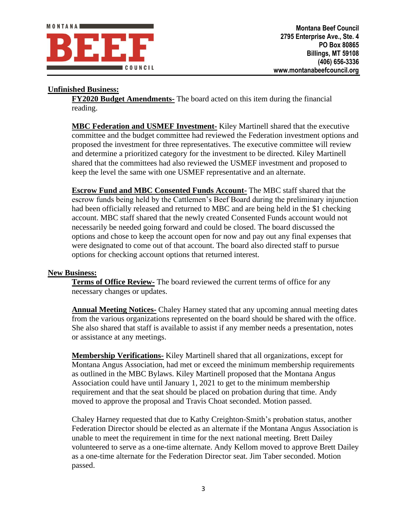

### **Unfinished Business:**

**FY2020 Budget Amendments-** The board acted on this item during the financial reading.

**MBC Federation and USMEF Investment-** Kiley Martinell shared that the executive committee and the budget committee had reviewed the Federation investment options and proposed the investment for three representatives. The executive committee will review and determine a prioritized category for the investment to be directed. Kiley Martinell shared that the committees had also reviewed the USMEF investment and proposed to keep the level the same with one USMEF representative and an alternate.

**Escrow Fund and MBC Consented Funds Account-** The MBC staff shared that the escrow funds being held by the Cattlemen's Beef Board during the preliminary injunction had been officially released and returned to MBC and are being held in the \$1 checking account. MBC staff shared that the newly created Consented Funds account would not necessarily be needed going forward and could be closed. The board discussed the options and chose to keep the account open for now and pay out any final expenses that were designated to come out of that account. The board also directed staff to pursue options for checking account options that returned interest.

#### **New Business:**

**Terms of Office Review-** The board reviewed the current terms of office for any necessary changes or updates.

**Annual Meeting Notices-** Chaley Harney stated that any upcoming annual meeting dates from the various organizations represented on the board should be shared with the office. She also shared that staff is available to assist if any member needs a presentation, notes or assistance at any meetings.

**Membership Verifications-** Kiley Martinell shared that all organizations, except for Montana Angus Association, had met or exceed the minimum membership requirements as outlined in the MBC Bylaws. Kiley Martinell proposed that the Montana Angus Association could have until January 1, 2021 to get to the minimum membership requirement and that the seat should be placed on probation during that time. Andy moved to approve the proposal and Travis Choat seconded. Motion passed.

Chaley Harney requested that due to Kathy Creighton-Smith's probation status, another Federation Director should be elected as an alternate if the Montana Angus Association is unable to meet the requirement in time for the next national meeting. Brett Dailey volunteered to serve as a one-time alternate. Andy Kellom moved to approve Brett Dailey as a one-time alternate for the Federation Director seat. Jim Taber seconded. Motion passed.